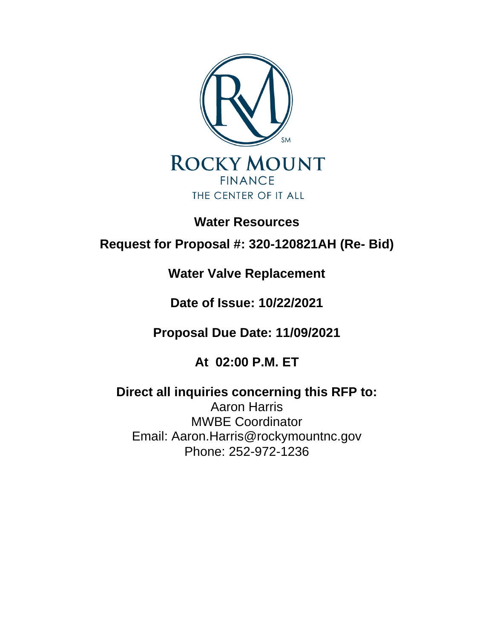

## **Water Resources**

# **Request for Proposal #: 320-120821AH (Re- Bid)**

## **Water Valve Replacement**

## **Date of Issue: 10/22/2021**

## **Proposal Due Date: 11/09/2021**

## **At 02:00 P.M. ET**

## **Direct all inquiries concerning this RFP to:**  Aaron Harris MWBE Coordinator

Email: Aaron.Harris@rockymountnc.gov Phone: 252-972-1236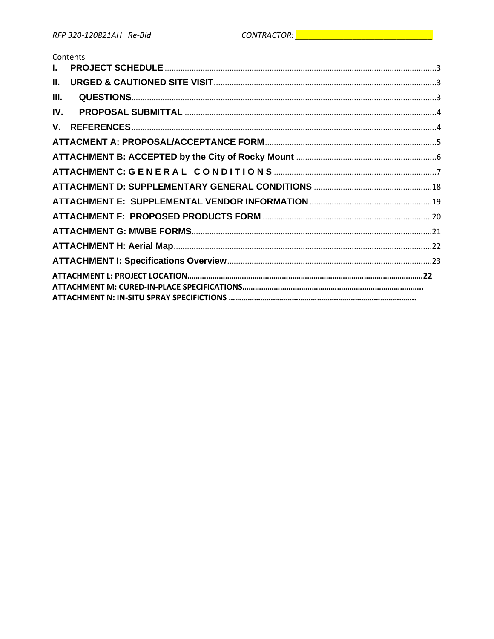## Contents

| $\mathbf{L}$ |  |
|--------------|--|
| Ш.           |  |
| III.         |  |
| IV.          |  |
|              |  |
|              |  |
|              |  |
|              |  |
|              |  |
|              |  |
|              |  |
|              |  |
|              |  |
|              |  |
|              |  |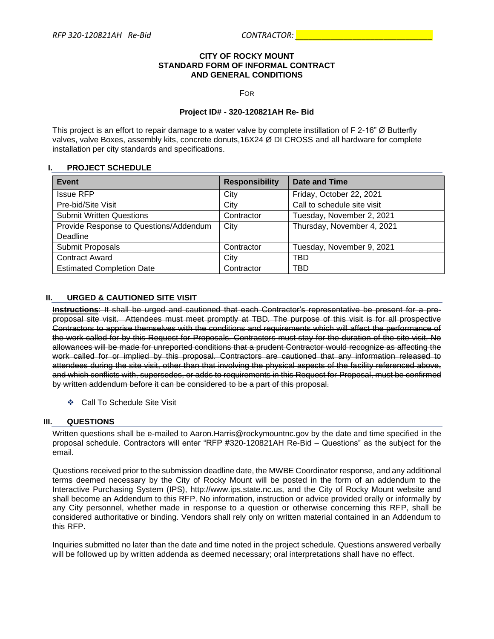#### **CITY OF ROCKY MOUNT STANDARD FORM OF INFORMAL CONTRACT AND GENERAL CONDITIONS**

FOR

#### **Project ID# - 320-120821AH Re- Bid**

This project is an effort to repair damage to a water valve by complete instillation of F 2-16" Ø Butterfly valves, valve Boxes, assembly kits, concrete donuts,16X24 Ø DI CROSS and all hardware for complete installation per city standards and specifications.

## **I. PROJECT SCHEDULE**

| Event                                  | <b>Responsibility</b> | Date and Time               |
|----------------------------------------|-----------------------|-----------------------------|
| <b>Issue RFP</b>                       | City                  | Friday, October 22, 2021    |
| Pre-bid/Site Visit                     | City                  | Call to schedule site visit |
| <b>Submit Written Questions</b>        | Contractor            | Tuesday, November 2, 2021   |
| Provide Response to Questions/Addendum | City                  | Thursday, November 4, 2021  |
| Deadline                               |                       |                             |
| Submit Proposals                       | Contractor            | Tuesday, November 9, 2021   |
| <b>Contract Award</b>                  | City                  | <b>TBD</b>                  |
| <b>Estimated Completion Date</b>       | Contractor            | <b>TBD</b>                  |

## **II. URGED & CAUTIONED SITE VISIT**

**Instructions**: It shall be urged and cautioned that each Contractor's representative be present for a preproposal site visit. Attendees must meet promptly at TBD*.* The purpose of this visit is for all prospective Contractors to apprise themselves with the conditions and requirements which will affect the performance of the work called for by this Request for Proposals. Contractors must stay for the duration of the site visit. No allowances will be made for unreported conditions that a prudent Contractor would recognize as affecting the work called for or implied by this proposal. Contractors are cautioned that any information released to attendees during the site visit, other than that involving the physical aspects of the facility referenced above, and which conflicts with, supersedes, or adds to requirements in this Request for Proposal, must be confirmed by written addendum before it can be considered to be a part of this proposal.

❖ Call To Schedule Site Visit

## **III. QUESTIONS**

Written questions shall be e-mailed to Aaron.Harris@rockymountnc.gov by the date and time specified in the proposal schedule. Contractors will enter "RFP #320-120821AH Re-Bid – Questions" as the subject for the email.

Questions received prior to the submission deadline date, the MWBE Coordinator response, and any additional terms deemed necessary by the City of Rocky Mount will be posted in the form of an addendum to the Interactive Purchasing System (IPS), http://www.ips.state.nc.us, and the City of Rocky Mount website and shall become an Addendum to this RFP. No information, instruction or advice provided orally or informally by any City personnel, whether made in response to a question or otherwise concerning this RFP, shall be considered authoritative or binding. Vendors shall rely only on written material contained in an Addendum to this RFP.

Inquiries submitted no later than the date and time noted in the project schedule. Questions answered verbally will be followed up by written addenda as deemed necessary; oral interpretations shall have no effect.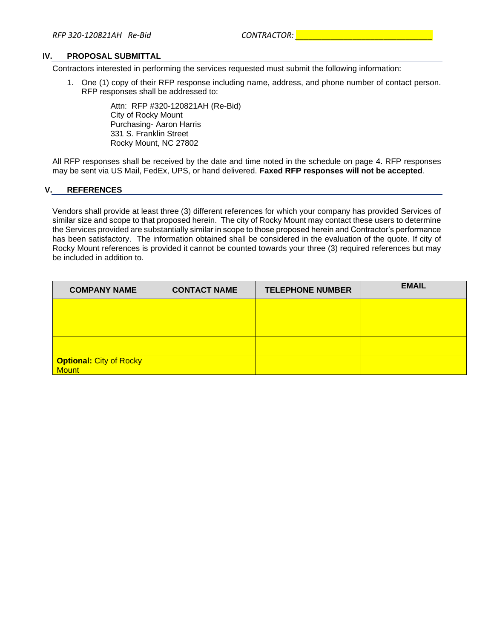#### **IV. PROPOSAL SUBMITTAL**

Contractors interested in performing the services requested must submit the following information:

1. One (1) copy of their RFP response including name, address, and phone number of contact person. RFP responses shall be addressed to:

> Attn: RFP #320-120821AH (Re-Bid) City of Rocky Mount Purchasing- Aaron Harris 331 S. Franklin Street Rocky Mount, NC 27802

All RFP responses shall be received by the date and time noted in the schedule on page 4. RFP responses may be sent via US Mail, FedEx, UPS, or hand delivered. **Faxed RFP responses will not be accepted**.

#### **V. REFERENCES**

Vendors shall provide at least three (3) different references for which your company has provided Services of similar size and scope to that proposed herein. The city of Rocky Mount may contact these users to determine the Services provided are substantially similar in scope to those proposed herein and Contractor's performance has been satisfactory. The information obtained shall be considered in the evaluation of the quote. If city of Rocky Mount references is provided it cannot be counted towards your three (3) required references but may be included in addition to.

| <b>COMPANY NAME</b>                            | <b>CONTACT NAME</b> | <b>TELEPHONE NUMBER</b> | <b>EMAIL</b> |
|------------------------------------------------|---------------------|-------------------------|--------------|
|                                                |                     |                         |              |
|                                                |                     |                         |              |
|                                                |                     |                         |              |
| <b>Optional: City of Rocky</b><br><b>Mount</b> |                     |                         |              |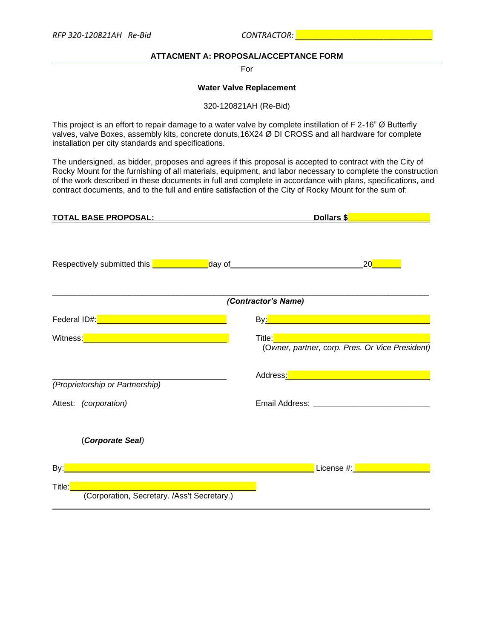## **ATTACMENT A: PROPOSAL/ACCEPTANCE FORM**

For

#### **Water Valve Replacement**

320-120821AH (Re-Bid)

This project is an effort to repair damage to a water valve by complete instillation of F 2-16" Ø Butterfly valves, valve Boxes, assembly kits, concrete donuts,16X24 Ø DI CROSS and all hardware for complete installation per city standards and specifications.

The undersigned, as bidder, proposes and agrees if this proposal is accepted to contract with the City of Rocky Mount for the furnishing of all materials, equipment, and labor necessary to complete the construction of the work described in these documents in full and complete in accordance with plans, specifications, and contract documents, and to the full and entire satisfaction of the City of Rocky Mount for the sum of:

| <u>TOTAL BASE PROPOSAL:</u>                                                                                        | Dollars \$                                                                                                                                                                                                                                                                             |
|--------------------------------------------------------------------------------------------------------------------|----------------------------------------------------------------------------------------------------------------------------------------------------------------------------------------------------------------------------------------------------------------------------------------|
| Respectively submitted this <u>New York Nicolas Andrew Aday of Nicolas Annumento and Adams 20</u> Nicolas Adams 20 |                                                                                                                                                                                                                                                                                        |
|                                                                                                                    | (Contractor's Name)                                                                                                                                                                                                                                                                    |
| Federal ID#: <u>Alexander Alexander Alexander Alexander Alexander</u>                                              |                                                                                                                                                                                                                                                                                        |
| Witness: Witness: Witness: Witness: Witness: Witness: Witness: Witness: Witness: Witness (2014)                    | <b>Title:</b> The Company of the Company of the Company of the Company of the Company of the Company of the Company of the Company of the Company of the Company of the Company of the Company of the Company of the Company of the<br>(Owner, partner, corp. Pres. Or Vice President) |
| (Proprietorship or Partnership)                                                                                    | Address <u>: Address: Address: Address: Address: Address: Address: Address: Address: Address: Address: A</u>                                                                                                                                                                           |
| Attest: (corporation)                                                                                              |                                                                                                                                                                                                                                                                                        |
| (Corporate Seal)                                                                                                   |                                                                                                                                                                                                                                                                                        |
|                                                                                                                    | License #: <b>All and All and All and All and All and All and All and All and All and</b>                                                                                                                                                                                              |
| Title:<br>(Corporation, Secretary. /Ass't Secretary.)                                                              |                                                                                                                                                                                                                                                                                        |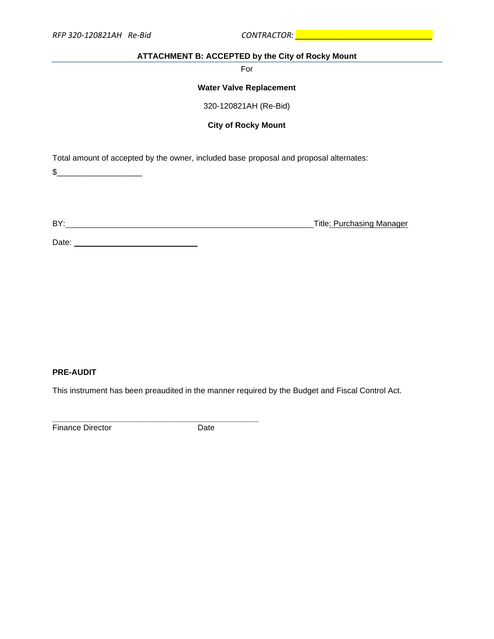## **ATTACHMENT B: ACCEPTED by the City of Rocky Mount**

For

#### **Water Valve Replacement**

320-120821AH (Re-Bid)

**City of Rocky Mount**

Total amount of accepted by the owner, included base proposal and proposal alternates:

\$\_\_\_\_\_\_\_\_\_\_\_\_\_\_\_\_\_\_\_

BY: Title: Purchasing Manager

Date: <u>Date:</u>

## **PRE-AUDIT**

This instrument has been preaudited in the manner required by the Budget and Fiscal Control Act.

Finance Director Date

**\_\_\_\_\_\_\_\_\_\_\_\_\_\_\_\_\_\_\_\_\_\_\_\_\_\_\_\_\_\_\_\_\_\_\_\_\_\_\_\_\_\_\_\_\_\_**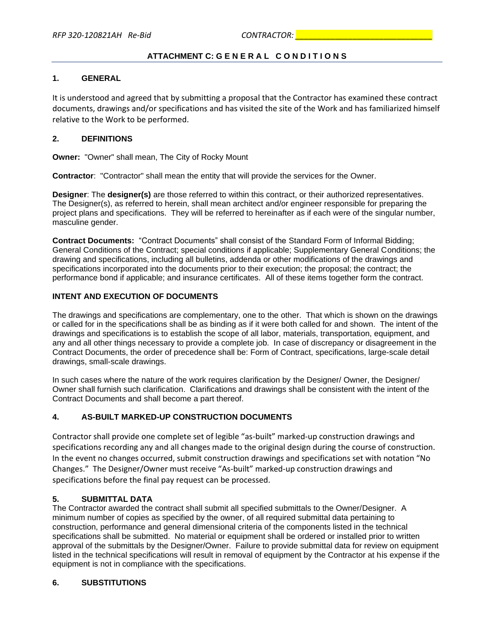## **ATTACHMENT C: G E N E R A L C O N D I T I O N S**

## **1. GENERAL**

It is understood and agreed that by submitting a proposal that the Contractor has examined these contract documents, drawings and/or specifications and has visited the site of the Work and has familiarized himself relative to the Work to be performed.

## **2. DEFINITIONS**

**Owner:** "Owner" shall mean, The City of Rocky Mount

**Contractor**: "Contractor" shall mean the entity that will provide the services for the Owner.

**Designer**: The **designer(s)** are those referred to within this contract, or their authorized representatives. The Designer(s), as referred to herein, shall mean architect and/or engineer responsible for preparing the project plans and specifications. They will be referred to hereinafter as if each were of the singular number, masculine gender.

**Contract Documents:** "Contract Documents" shall consist of the Standard Form of Informal Bidding; General Conditions of the Contract; special conditions if applicable; Supplementary General Conditions; the drawing and specifications, including all bulletins, addenda or other modifications of the drawings and specifications incorporated into the documents prior to their execution; the proposal; the contract; the performance bond if applicable; and insurance certificates. All of these items together form the contract.

## **INTENT AND EXECUTION OF DOCUMENTS**

The drawings and specifications are complementary, one to the other. That which is shown on the drawings or called for in the specifications shall be as binding as if it were both called for and shown. The intent of the drawings and specifications is to establish the scope of all labor, materials, transportation, equipment, and any and all other things necessary to provide a complete job. In case of discrepancy or disagreement in the Contract Documents, the order of precedence shall be: Form of Contract, specifications, large-scale detail drawings, small-scale drawings.

In such cases where the nature of the work requires clarification by the Designer/ Owner, the Designer/ Owner shall furnish such clarification. Clarifications and drawings shall be consistent with the intent of the Contract Documents and shall become a part thereof.

## **4. AS-BUILT MARKED-UP CONSTRUCTION DOCUMENTS**

Contractor shall provide one complete set of legible "as-built" marked-up construction drawings and specifications recording any and all changes made to the original design during the course of construction. In the event no changes occurred, submit construction drawings and specifications set with notation "No Changes." The Designer/Owner must receive "As-built" marked-up construction drawings and specifications before the final pay request can be processed.

## **5. SUBMITTAL DATA**

The Contractor awarded the contract shall submit all specified submittals to the Owner/Designer. A minimum number of copies as specified by the owner, of all required submittal data pertaining to construction, performance and general dimensional criteria of the components listed in the technical specifications shall be submitted. No material or equipment shall be ordered or installed prior to written approval of the submittals by the Designer/Owner. Failure to provide submittal data for review on equipment listed in the technical specifications will result in removal of equipment by the Contractor at his expense if the equipment is not in compliance with the specifications.

## **6. SUBSTITUTIONS**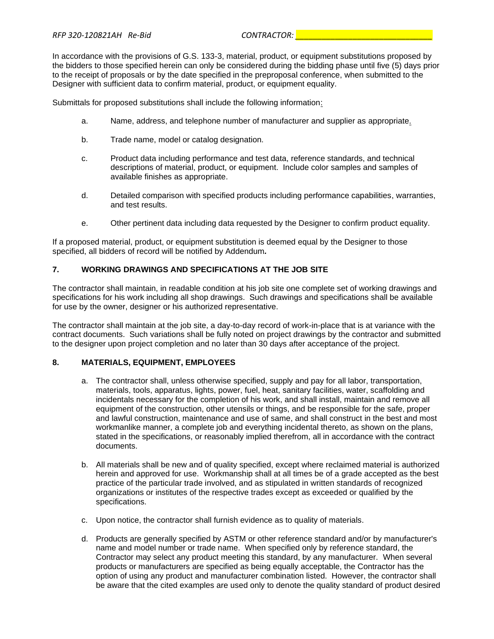In accordance with the provisions of G.S. 133-3, material, product, or equipment substitutions proposed by the bidders to those specified herein can only be considered during the bidding phase until five (5) days prior to the receipt of proposals or by the date specified in the preproposal conference, when submitted to the Designer with sufficient data to confirm material, product, or equipment equality.

Submittals for proposed substitutions shall include the following information:

- a. Name, address, and telephone number of manufacturer and supplier as appropriate.
- b. Trade name, model or catalog designation.
- c. Product data including performance and test data, reference standards, and technical descriptions of material, product, or equipment. Include color samples and samples of available finishes as appropriate.
- d. Detailed comparison with specified products including performance capabilities, warranties, and test results.
- e. Other pertinent data including data requested by the Designer to confirm product equality.

If a proposed material, product, or equipment substitution is deemed equal by the Designer to those specified, all bidders of record will be notified by Addendum*.*

## **7. WORKING DRAWINGS AND SPECIFICATIONS AT THE JOB SITE**

The contractor shall maintain, in readable condition at his job site one complete set of working drawings and specifications for his work including all shop drawings. Such drawings and specifications shall be available for use by the owner, designer or his authorized representative.

The contractor shall maintain at the job site, a day-to-day record of work-in-place that is at variance with the contract documents. Such variations shall be fully noted on project drawings by the contractor and submitted to the designer upon project completion and no later than 30 days after acceptance of the project.

## **8. MATERIALS, EQUIPMENT, EMPLOYEES**

- a. The contractor shall, unless otherwise specified, supply and pay for all labor, transportation, materials, tools, apparatus, lights, power, fuel, heat, sanitary facilities, water, scaffolding and incidentals necessary for the completion of his work, and shall install, maintain and remove all equipment of the construction, other utensils or things, and be responsible for the safe, proper and lawful construction, maintenance and use of same, and shall construct in the best and most workmanlike manner, a complete job and everything incidental thereto, as shown on the plans, stated in the specifications, or reasonably implied therefrom, all in accordance with the contract documents.
- b. All materials shall be new and of quality specified, except where reclaimed material is authorized herein and approved for use. Workmanship shall at all times be of a grade accepted as the best practice of the particular trade involved, and as stipulated in written standards of recognized organizations or institutes of the respective trades except as exceeded or qualified by the specifications.
- c. Upon notice, the contractor shall furnish evidence as to quality of materials.
- d. Products are generally specified by ASTM or other reference standard and/or by manufacturer's name and model number or trade name. When specified only by reference standard, the Contractor may select any product meeting this standard, by any manufacturer. When several products or manufacturers are specified as being equally acceptable, the Contractor has the option of using any product and manufacturer combination listed. However, the contractor shall be aware that the cited examples are used only to denote the quality standard of product desired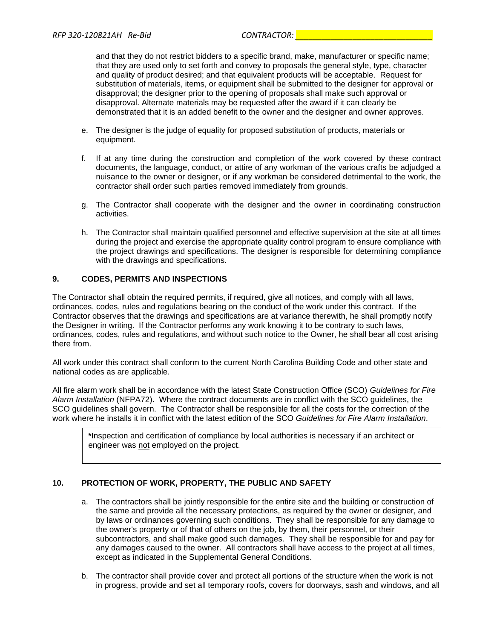and that they do not restrict bidders to a specific brand, make, manufacturer or specific name; that they are used only to set forth and convey to proposals the general style, type, character and quality of product desired; and that equivalent products will be acceptable. Request for substitution of materials, items, or equipment shall be submitted to the designer for approval or disapproval; the designer prior to the opening of proposals shall make such approval or disapproval. Alternate materials may be requested after the award if it can clearly be demonstrated that it is an added benefit to the owner and the designer and owner approves.

- e. The designer is the judge of equality for proposed substitution of products, materials or equipment.
- f. If at any time during the construction and completion of the work covered by these contract documents, the language, conduct, or attire of any workman of the various crafts be adjudged a nuisance to the owner or designer, or if any workman be considered detrimental to the work, the contractor shall order such parties removed immediately from grounds.
- g. The Contractor shall cooperate with the designer and the owner in coordinating construction activities.
- h. The Contractor shall maintain qualified personnel and effective supervision at the site at all times during the project and exercise the appropriate quality control program to ensure compliance with the project drawings and specifications. The designer is responsible for determining compliance with the drawings and specifications.

## **9. CODES, PERMITS AND INSPECTIONS**

The Contractor shall obtain the required permits, if required, give all notices, and comply with all laws, ordinances, codes, rules and regulations bearing on the conduct of the work under this contract. If the Contractor observes that the drawings and specifications are at variance therewith, he shall promptly notify the Designer in writing. If the Contractor performs any work knowing it to be contrary to such laws, ordinances, codes, rules and regulations, and without such notice to the Owner, he shall bear all cost arising there from.

All work under this contract shall conform to the current North Carolina Building Code and other state and national codes as are applicable.

All fire alarm work shall be in accordance with the latest State Construction Office (SCO) *Guidelines for Fire Alarm Installation* (NFPA72). Where the contract documents are in conflict with the SCO guidelines, the SCO guidelines shall govern. The Contractor shall be responsible for all the costs for the correction of the work where he installs it in conflict with the latest edition of the SCO *Guidelines for Fire Alarm Installation*.

**\***Inspection and certification of compliance by local authorities is necessary if an architect or engineer was not employed on the project.

## **10. PROTECTION OF WORK, PROPERTY, THE PUBLIC AND SAFETY**

- a. The contractors shall be jointly responsible for the entire site and the building or construction of the same and provide all the necessary protections, as required by the owner or designer, and by laws or ordinances governing such conditions. They shall be responsible for any damage to the owner's property or of that of others on the job, by them, their personnel, or their subcontractors, and shall make good such damages. They shall be responsible for and pay for any damages caused to the owner. All contractors shall have access to the project at all times, except as indicated in the Supplemental General Conditions.
- b. The contractor shall provide cover and protect all portions of the structure when the work is not in progress, provide and set all temporary roofs, covers for doorways, sash and windows, and all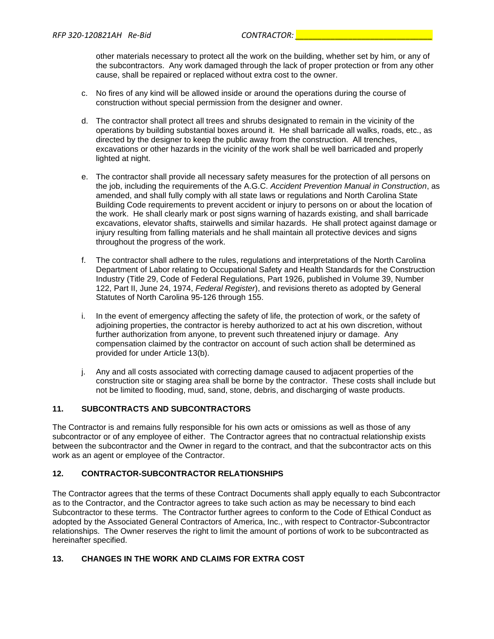other materials necessary to protect all the work on the building, whether set by him, or any of the subcontractors. Any work damaged through the lack of proper protection or from any other cause, shall be repaired or replaced without extra cost to the owner.

- c. No fires of any kind will be allowed inside or around the operations during the course of construction without special permission from the designer and owner.
- d. The contractor shall protect all trees and shrubs designated to remain in the vicinity of the operations by building substantial boxes around it. He shall barricade all walks, roads, etc., as directed by the designer to keep the public away from the construction. All trenches, excavations or other hazards in the vicinity of the work shall be well barricaded and properly lighted at night.
- e. The contractor shall provide all necessary safety measures for the protection of all persons on the job, including the requirements of the A.G.C. *Accident Prevention Manual in Construction*, as amended, and shall fully comply with all state laws or regulations and North Carolina State Building Code requirements to prevent accident or injury to persons on or about the location of the work. He shall clearly mark or post signs warning of hazards existing, and shall barricade excavations, elevator shafts, stairwells and similar hazards. He shall protect against damage or injury resulting from falling materials and he shall maintain all protective devices and signs throughout the progress of the work.
- f. The contractor shall adhere to the rules, regulations and interpretations of the North Carolina Department of Labor relating to Occupational Safety and Health Standards for the Construction Industry (Title 29, Code of Federal Regulations, Part 1926, published in Volume 39, Number 122, Part II, June 24, 1974, *Federal Register*), and revisions thereto as adopted by General Statutes of North Carolina 95-126 through 155.
- i. In the event of emergency affecting the safety of life, the protection of work, or the safety of adjoining properties, the contractor is hereby authorized to act at his own discretion, without further authorization from anyone, to prevent such threatened injury or damage. Any compensation claimed by the contractor on account of such action shall be determined as provided for under Article 13(b).
- j. Any and all costs associated with correcting damage caused to adjacent properties of the construction site or staging area shall be borne by the contractor. These costs shall include but not be limited to flooding, mud, sand, stone, debris, and discharging of waste products.

## **11. SUBCONTRACTS AND SUBCONTRACTORS**

The Contractor is and remains fully responsible for his own acts or omissions as well as those of any subcontractor or of any employee of either. The Contractor agrees that no contractual relationship exists between the subcontractor and the Owner in regard to the contract, and that the subcontractor acts on this work as an agent or employee of the Contractor.

## **12. CONTRACTOR-SUBCONTRACTOR RELATIONSHIPS**

The Contractor agrees that the terms of these Contract Documents shall apply equally to each Subcontractor as to the Contractor, and the Contractor agrees to take such action as may be necessary to bind each Subcontractor to these terms. The Contractor further agrees to conform to the Code of Ethical Conduct as adopted by the Associated General Contractors of America, Inc., with respect to Contractor-Subcontractor relationships. The Owner reserves the right to limit the amount of portions of work to be subcontracted as hereinafter specified.

## **13. CHANGES IN THE WORK AND CLAIMS FOR EXTRA COST**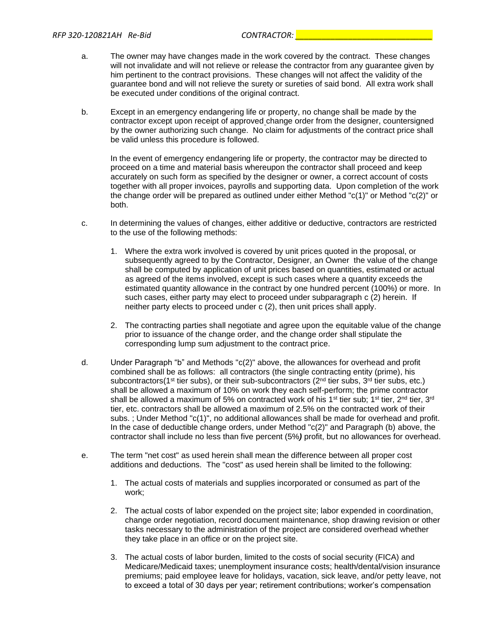- a. The owner may have changes made in the work covered by the contract. These changes will not invalidate and will not relieve or release the contractor from any guarantee given by him pertinent to the contract provisions. These changes will not affect the validity of the guarantee bond and will not relieve the surety or sureties of said bond. All extra work shall be executed under conditions of the original contract.
- b. Except in an emergency endangering life or property, no change shall be made by the contractor except upon receipt of approved change order from the designer, countersigned by the owner authorizing such change. No claim for adjustments of the contract price shall be valid unless this procedure is followed.

In the event of emergency endangering life or property, the contractor may be directed to proceed on a time and material basis whereupon the contractor shall proceed and keep accurately on such form as specified by the designer or owner, a correct account of costs together with all proper invoices, payrolls and supporting data. Upon completion of the work the change order will be prepared as outlined under either Method "c(1)" or Method "c(2)" or both.

- c. In determining the values of changes, either additive or deductive, contractors are restricted to the use of the following methods:
	- 1. Where the extra work involved is covered by unit prices quoted in the proposal, or subsequently agreed to by the Contractor, Designer, an Owner the value of the change shall be computed by application of unit prices based on quantities, estimated or actual as agreed of the items involved, except is such cases where a quantity exceeds the estimated quantity allowance in the contract by one hundred percent (100%) or more. In such cases, either party may elect to proceed under subparagraph c (2) herein. If neither party elects to proceed under c (2), then unit prices shall apply.
	- 2. The contracting parties shall negotiate and agree upon the equitable value of the change prior to issuance of the change order, and the change order shall stipulate the corresponding lump sum adjustment to the contract price.
- d. Under Paragraph "b" and Methods "c(2)" above, the allowances for overhead and profit combined shall be as follows: all contractors (the single contracting entity (prime), his subcontractors(1<sup>st</sup> tier subs), or their sub-subcontractors ( $2<sup>nd</sup>$  tier subs,  $3<sup>rd</sup>$  tier subs, etc.) shall be allowed a maximum of 10% on work they each self-perform; the prime contractor shall be allowed a maximum of 5% on contracted work of his 1<sup>st</sup> tier sub; 1<sup>st</sup> tier, 2<sup>nd</sup> tier, 3<sup>rd</sup> tier, etc. contractors shall be allowed a maximum of 2.5% on the contracted work of their subs. ; Under Method "c(1)", no additional allowances shall be made for overhead and profit. In the case of deductible change orders, under Method "c(2)" and Paragraph (b) above, the contractor shall include no less than five percent (5%*)* profit, but no allowances for overhead.
- e. The term "net cost" as used herein shall mean the difference between all proper cost additions and deductions. The "cost" as used herein shall be limited to the following:
	- 1. The actual costs of materials and supplies incorporated or consumed as part of the work;
	- 2. The actual costs of labor expended on the project site; labor expended in coordination, change order negotiation, record document maintenance, shop drawing revision or other tasks necessary to the administration of the project are considered overhead whether they take place in an office or on the project site.
	- 3. The actual costs of labor burden, limited to the costs of social security (FICA) and Medicare/Medicaid taxes; unemployment insurance costs; health/dental/vision insurance premiums; paid employee leave for holidays, vacation, sick leave, and/or petty leave, not to exceed a total of 30 days per year; retirement contributions; worker's compensation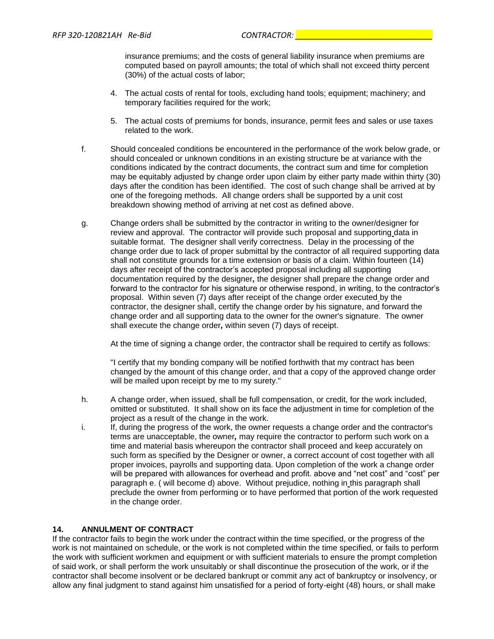insurance premiums; and the costs of general liability insurance when premiums are computed based on payroll amounts; the total of which shall not exceed thirty percent (30%) of the actual costs of labor;

- 4. The actual costs of rental for tools, excluding hand tools; equipment; machinery; and temporary facilities required for the work;
- 5. The actual costs of premiums for bonds, insurance, permit fees and sales or use taxes related to the work.
- f. Should concealed conditions be encountered in the performance of the work below grade, or should concealed or unknown conditions in an existing structure be at variance with the conditions indicated by the contract documents, the contract sum and time for completion may be equitably adjusted by change order upon claim by either party made within thirty (30) days after the condition has been identified. The cost of such change shall be arrived at by one of the foregoing methods. All change orders shall be supported by a unit cost breakdown showing method of arriving at net cost as defined above.
- g. Change orders shall be submitted by the contractor in writing to the owner/designer for review and approval. The contractor will provide such proposal and supporting data in suitable format. The designer shall verify correctness. Delay in the processing of the change order due to lack of proper submittal by the contractor of all required supporting data shall not constitute grounds for a time extension or basis of a claim. Within fourteen (14) days after receipt of the contractor's accepted proposal including all supporting documentation required by the designer*,* the designer shall prepare the change order and forward to the contractor for his signature or otherwise respond, in writing, to the contractor's proposal. Within seven (7) days after receipt of the change order executed by the contractor, the designer shall, certify the change order by his signature, and forward the change order and all supporting data to the owner for the owner's signature. The owner shall execute the change order*,* within seven (7) days of receipt.

At the time of signing a change order, the contractor shall be required to certify as follows:

"I certify that my bonding company will be notified forthwith that my contract has been changed by the amount of this change order, and that a copy of the approved change order will be mailed upon receipt by me to my surety."

- h. A change order, when issued, shall be full compensation, or credit, for the work included, omitted or substituted. It shall show on its face the adjustment in time for completion of the project as a result of the change in the work.
- i. If, during the progress of the work, the owner requests a change order and the contractor's terms are unacceptable, the owner*,* may require the contractor to perform such work on a time and material basis whereupon the contractor shall proceed and keep accurately on such form as specified by the Designer or owner, a correct account of cost together with all proper invoices, payrolls and supporting data. Upon completion of the work a change order will be prepared with allowances for overhead and profit. above and "net cost" and "cost" per paragraph e. ( will become d) above. Without prejudice, nothing in this paragraph shall preclude the owner from performing or to have performed that portion of the work requested in the change order.

## **14. ANNULMENT OF CONTRACT**

If the contractor fails to begin the work under the contract within the time specified, or the progress of the work is not maintained on schedule, or the work is not completed within the time specified, or fails to perform the work with sufficient workmen and equipment or with sufficient materials to ensure the prompt completion of said work, or shall perform the work unsuitably or shall discontinue the prosecution of the work, or if the contractor shall become insolvent or be declared bankrupt or commit any act of bankruptcy or insolvency, or allow any final judgment to stand against him unsatisfied for a period of forty-eight (48) hours, or shall make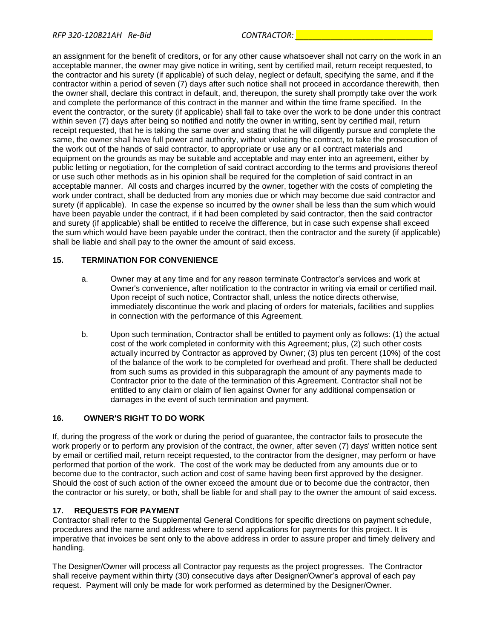an assignment for the benefit of creditors, or for any other cause whatsoever shall not carry on the work in an acceptable manner, the owner may give notice in writing, sent by certified mail, return receipt requested, to the contractor and his surety (if applicable) of such delay, neglect or default, specifying the same, and if the contractor within a period of seven (7) days after such notice shall not proceed in accordance therewith, then the owner shall, declare this contract in default, and, thereupon, the surety shall promptly take over the work and complete the performance of this contract in the manner and within the time frame specified. In the event the contractor, or the surety (if applicable) shall fail to take over the work to be done under this contract within seven (7) days after being so notified and notify the owner in writing, sent by certified mail, return receipt requested, that he is taking the same over and stating that he will diligently pursue and complete the same, the owner shall have full power and authority, without violating the contract, to take the prosecution of the work out of the hands of said contractor, to appropriate or use any or all contract materials and equipment on the grounds as may be suitable and acceptable and may enter into an agreement, either by public letting or negotiation, for the completion of said contract according to the terms and provisions thereof or use such other methods as in his opinion shall be required for the completion of said contract in an acceptable manner. All costs and charges incurred by the owner, together with the costs of completing the work under contract, shall be deducted from any monies due or which may become due said contractor and surety (if applicable). In case the expense so incurred by the owner shall be less than the sum which would have been payable under the contract, if it had been completed by said contractor, then the said contractor and surety (if applicable) shall be entitled to receive the difference, but in case such expense shall exceed the sum which would have been payable under the contract, then the contractor and the surety (if applicable) shall be liable and shall pay to the owner the amount of said excess.

## **15. TERMINATION FOR CONVENIENCE**

- a. Owner may at any time and for any reason terminate Contractor's services and work at Owner's convenience, after notification to the contractor in writing via email or certified mail. Upon receipt of such notice, Contractor shall, unless the notice directs otherwise, immediately discontinue the work and placing of orders for materials, facilities and supplies in connection with the performance of this Agreement.
- b. Upon such termination, Contractor shall be entitled to payment only as follows: (1) the actual cost of the work completed in conformity with this Agreement; plus, (2) such other costs actually incurred by Contractor as approved by Owner; (3) plus ten percent (10%) of the cost of the balance of the work to be completed for overhead and profit. There shall be deducted from such sums as provided in this subparagraph the amount of any payments made to Contractor prior to the date of the termination of this Agreement. Contractor shall not be entitled to any claim or claim of lien against Owner for any additional compensation or damages in the event of such termination and payment.

## **16. OWNER'S RIGHT TO DO WORK**

If, during the progress of the work or during the period of guarantee, the contractor fails to prosecute the work properly or to perform any provision of the contract, the owner, after seven (7) days' written notice sent by email or certified mail, return receipt requested, to the contractor from the designer, may perform or have performed that portion of the work. The cost of the work may be deducted from any amounts due or to become due to the contractor, such action and cost of same having been first approved by the designer. Should the cost of such action of the owner exceed the amount due or to become due the contractor, then the contractor or his surety, or both, shall be liable for and shall pay to the owner the amount of said excess.

## **17. REQUESTS FOR PAYMENT**

Contractor shall refer to the Supplemental General Conditions for specific directions on payment schedule, procedures and the name and address where to send applications for payments for this project. It is imperative that invoices be sent only to the above address in order to assure proper and timely delivery and handling.

The Designer/Owner will process all Contractor pay requests as the project progresses. The Contractor shall receive payment within thirty (30) consecutive days after Designer/Owner's approval of each pay request. Payment will only be made for work performed as determined by the Designer/Owner.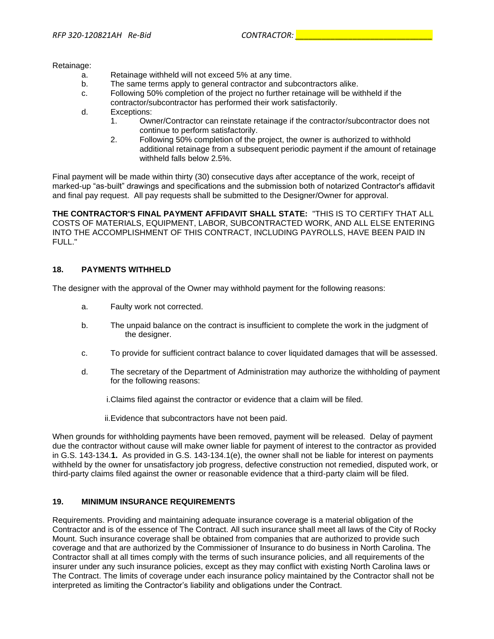Retainage:

- a. Retainage withheld will not exceed 5% at any time.
- b. The same terms apply to general contractor and subcontractors alike.
- c. Following 50% completion of the project no further retainage will be withheld if the contractor/subcontractor has performed their work satisfactorily.
- d. Exceptions:
	- 1. Owner/Contractor can reinstate retainage if the contractor/subcontractor does not continue to perform satisfactorily.
	- 2. Following 50% completion of the project, the owner is authorized to withhold additional retainage from a subsequent periodic payment if the amount of retainage withheld falls below 2.5%.

Final payment will be made within thirty (30) consecutive days after acceptance of the work, receipt of marked-up "as-built" drawings and specifications and the submission both of notarized Contractor's affidavit and final pay request. All pay requests shall be submitted to the Designer/Owner for approval.

**THE CONTRACTOR'S FINAL PAYMENT AFFIDAVIT SHALL STATE:** "THIS IS TO CERTIFY THAT ALL COSTS OF MATERIALS, EQUIPMENT, LABOR, SUBCONTRACTED WORK, AND ALL ELSE ENTERING INTO THE ACCOMPLISHMENT OF THIS CONTRACT, INCLUDING PAYROLLS, HAVE BEEN PAID IN FULL."

#### **18. PAYMENTS WITHHELD**

The designer with the approval of the Owner may withhold payment for the following reasons:

- a. Faulty work not corrected.
- b. The unpaid balance on the contract is insufficient to complete the work in the judgment of the designer.
- c. To provide for sufficient contract balance to cover liquidated damages that will be assessed.
- d. The secretary of the Department of Administration may authorize the withholding of payment for the following reasons:

i.Claims filed against the contractor or evidence that a claim will be filed.

ii.Evidence that subcontractors have not been paid.

When grounds for withholding payments have been removed, payment will be released. Delay of payment due the contractor without cause will make owner liable for payment of interest to the contractor as provided in G.S. 143-134.**1.** As provided in G.S. 143-134.1(e), the owner shall not be liable for interest on payments withheld by the owner for unsatisfactory job progress, defective construction not remedied, disputed work, or third-party claims filed against the owner or reasonable evidence that a third-party claim will be filed.

## **19. MINIMUM INSURANCE REQUIREMENTS**

Requirements. Providing and maintaining adequate insurance coverage is a material obligation of the Contractor and is of the essence of The Contract. All such insurance shall meet all laws of the City of Rocky Mount. Such insurance coverage shall be obtained from companies that are authorized to provide such coverage and that are authorized by the Commissioner of Insurance to do business in North Carolina. The Contractor shall at all times comply with the terms of such insurance policies, and all requirements of the insurer under any such insurance policies, except as they may conflict with existing North Carolina laws or The Contract. The limits of coverage under each insurance policy maintained by the Contractor shall not be interpreted as limiting the Contractor's liability and obligations under the Contract.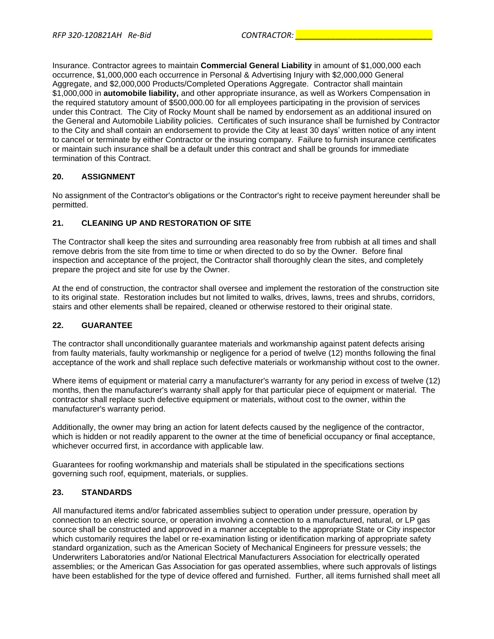Insurance. Contractor agrees to maintain **Commercial General Liability** in amount of \$1,000,000 each occurrence, \$1,000,000 each occurrence in Personal & Advertising Injury with \$2,000,000 General Aggregate, and \$2,000,000 Products/Completed Operations Aggregate. Contractor shall maintain \$1,000,000 in **automobile liability,** and other appropriate insurance, as well as Workers Compensation in the required statutory amount of \$500,000.00 for all employees participating in the provision of services under this Contract. The City of Rocky Mount shall be named by endorsement as an additional insured on the General and Automobile Liability policies. Certificates of such insurance shall be furnished by Contractor to the City and shall contain an endorsement to provide the City at least 30 days' written notice of any intent to cancel or terminate by either Contractor or the insuring company. Failure to furnish insurance certificates or maintain such insurance shall be a default under this contract and shall be grounds for immediate termination of this Contract.

## **20. ASSIGNMENT**

No assignment of the Contractor's obligations or the Contractor's right to receive payment hereunder shall be permitted.

## **21. CLEANING UP AND RESTORATION OF SITE**

The Contractor shall keep the sites and surrounding area reasonably free from rubbish at all times and shall remove debris from the site from time to time or when directed to do so by the Owner. Before final inspection and acceptance of the project, the Contractor shall thoroughly clean the sites, and completely prepare the project and site for use by the Owner.

At the end of construction, the contractor shall oversee and implement the restoration of the construction site to its original state. Restoration includes but not limited to walks, drives, lawns, trees and shrubs, corridors, stairs and other elements shall be repaired, cleaned or otherwise restored to their original state.

## **22. GUARANTEE**

The contractor shall unconditionally guarantee materials and workmanship against patent defects arising from faulty materials, faulty workmanship or negligence for a period of twelve (12) months following the final acceptance of the work and shall replace such defective materials or workmanship without cost to the owner.

Where items of equipment or material carry a manufacturer's warranty for any period in excess of twelve (12) months, then the manufacturer's warranty shall apply for that particular piece of equipment or material. The contractor shall replace such defective equipment or materials, without cost to the owner, within the manufacturer's warranty period.

Additionally, the owner may bring an action for latent defects caused by the negligence of the contractor, which is hidden or not readily apparent to the owner at the time of beneficial occupancy or final acceptance, whichever occurred first, in accordance with applicable law.

Guarantees for roofing workmanship and materials shall be stipulated in the specifications sections governing such roof, equipment, materials, or supplies.

## **23. STANDARDS**

All manufactured items and/or fabricated assemblies subject to operation under pressure, operation by connection to an electric source, or operation involving a connection to a manufactured, natural, or LP gas source shall be constructed and approved in a manner acceptable to the appropriate State or City inspector which customarily requires the label or re-examination listing or identification marking of appropriate safety standard organization, such as the American Society of Mechanical Engineers for pressure vessels; the Underwriters Laboratories and/or National Electrical Manufacturers Association for electrically operated assemblies; or the American Gas Association for gas operated assemblies, where such approvals of listings have been established for the type of device offered and furnished. Further, all items furnished shall meet all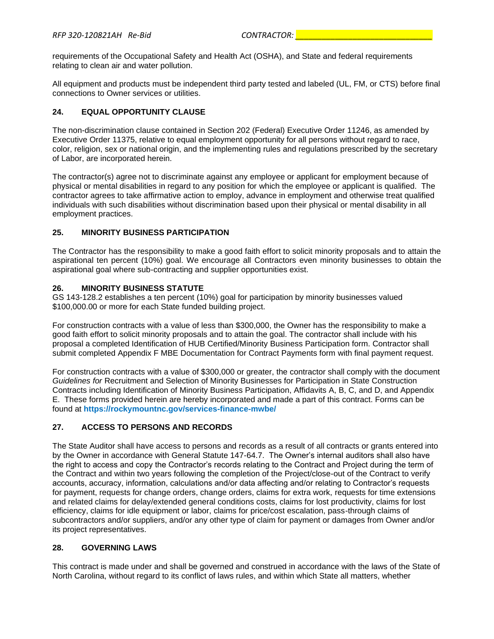requirements of the Occupational Safety and Health Act (OSHA), and State and federal requirements relating to clean air and water pollution.

All equipment and products must be independent third party tested and labeled (UL, FM, or CTS) before final connections to Owner services or utilities.

## **24. EQUAL OPPORTUNITY CLAUSE**

The non-discrimination clause contained in Section 202 (Federal) Executive Order 11246, as amended by Executive Order 11375, relative to equal employment opportunity for all persons without regard to race, color, religion, sex or national origin, and the implementing rules and regulations prescribed by the secretary of Labor, are incorporated herein.

The contractor(s) agree not to discriminate against any employee or applicant for employment because of physical or mental disabilities in regard to any position for which the employee or applicant is qualified. The contractor agrees to take affirmative action to employ, advance in employment and otherwise treat qualified individuals with such disabilities without discrimination based upon their physical or mental disability in all employment practices.

## **25. MINORITY BUSINESS PARTICIPATION**

The Contractor has the responsibility to make a good faith effort to solicit minority proposals and to attain the aspirational ten percent (10%) goal. We encourage all Contractors even minority businesses to obtain the aspirational goal where sub-contracting and supplier opportunities exist.

## **26. MINORITY BUSINESS STATUTE**

GS 143-128.2 establishes a ten percent (10%) goal for participation by minority businesses valued \$100,000.00 or more for each State funded building project.

For construction contracts with a value of less than \$300,000, the Owner has the responsibility to make a good faith effort to solicit minority proposals and to attain the goal. The contractor shall include with his proposal a completed Identification of HUB Certified/Minority Business Participation form. Contractor shall submit completed Appendix F MBE Documentation for Contract Payments form with final payment request.

For construction contracts with a value of \$300,000 or greater, the contractor shall comply with the document *Guidelines for* Recruitment and Selection of Minority Businesses for Participation in State Construction Contracts including Identification of Minority Business Participation, Affidavits A, B, C, and D, and Appendix E. These forms provided herein are hereby incorporated and made a part of this contract. Forms can be found at **https://rockymountnc.gov/services-finance-mwbe/**

## **27. ACCESS TO PERSONS AND RECORDS**

The State Auditor shall have access to persons and records as a result of all contracts or grants entered into by the Owner in accordance with General Statute 147-64.7. The Owner's internal auditors shall also have the right to access and copy the Contractor's records relating to the Contract and Project during the term of the Contract and within two years following the completion of the Project/close-out of the Contract to verify accounts, accuracy, information, calculations and/or data affecting and/or relating to Contractor's requests for payment, requests for change orders, change orders, claims for extra work, requests for time extensions and related claims for delay/extended general conditions costs, claims for lost productivity, claims for lost efficiency, claims for idle equipment or labor, claims for price/cost escalation, pass-through claims of subcontractors and/or suppliers, and/or any other type of claim for payment or damages from Owner and/or its project representatives.

## **28. GOVERNING LAWS**

This contract is made under and shall be governed and construed in accordance with the laws of the State of North Carolina, without regard to its conflict of laws rules, and within which State all matters, whether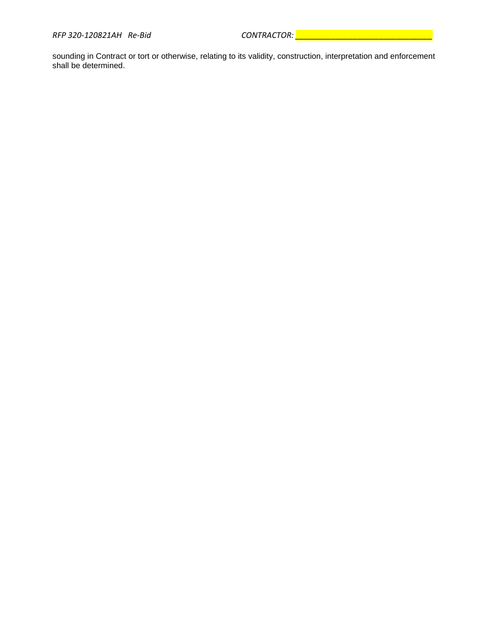sounding in Contract or tort or otherwise, relating to its validity, construction, interpretation and enforcement shall be determined.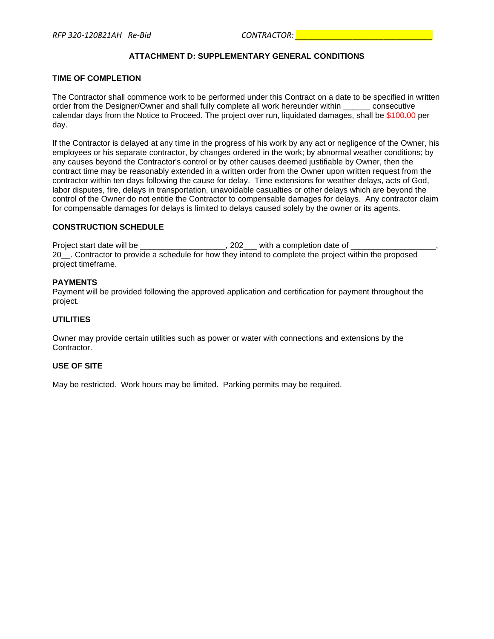## **ATTACHMENT D: SUPPLEMENTARY GENERAL CONDITIONS**

#### **TIME OF COMPLETION**

The Contractor shall commence work to be performed under this Contract on a date to be specified in written order from the Designer/Owner and shall fully complete all work hereunder within consecutive calendar days from the Notice to Proceed. The project over run, liquidated damages, shall be \$100.00 per day.

If the Contractor is delayed at any time in the progress of his work by any act or negligence of the Owner, his employees or his separate contractor, by changes ordered in the work; by abnormal weather conditions; by any causes beyond the Contractor's control or by other causes deemed justifiable by Owner, then the contract time may be reasonably extended in a written order from the Owner upon written request from the contractor within ten days following the cause for delay. Time extensions for weather delays, acts of God, labor disputes, fire, delays in transportation, unavoidable casualties or other delays which are beyond the control of the Owner do not entitle the Contractor to compensable damages for delays. Any contractor claim for compensable damages for delays is limited to delays caused solely by the owner or its agents.

## **CONSTRUCTION SCHEDULE**

Project start date will be  $\overline{a}$  and  $\overline{a}$  . 202 with a completion date of 20\_\_. Contractor to provide a schedule for how they intend to complete the project within the proposed project timeframe.

#### **PAYMENTS**

Payment will be provided following the approved application and certification for payment throughout the project.

#### **UTILITIES**

Owner may provide certain utilities such as power or water with connections and extensions by the Contractor.

#### **USE OF SITE**

May be restricted. Work hours may be limited. Parking permits may be required.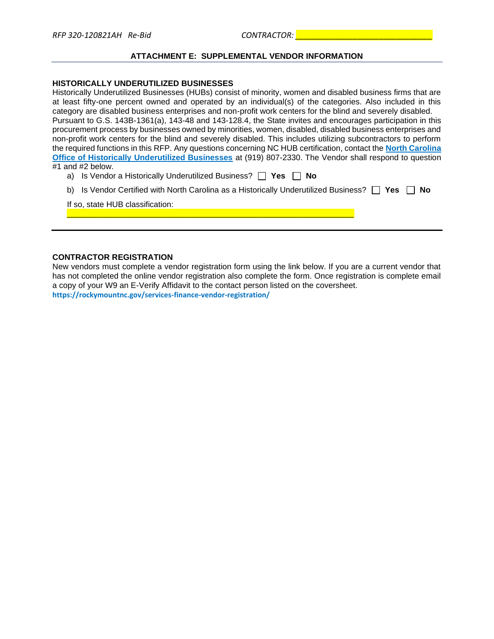#### **ATTACHMENT E: SUPPLEMENTAL VENDOR INFORMATION**

#### **HISTORICALLY UNDERUTILIZED BUSINESSES**

Historically Underutilized Businesses (HUBs) consist of minority, women and disabled business firms that are at least fifty-one percent owned and operated by an individual(s) of the categories. Also included in this category are disabled business enterprises and non-profit work centers for the blind and severely disabled. Pursuant to G.S. 143B-1361(a), 143-48 and 143-128.4, the State invites and encourages participation in this procurement process by businesses owned by minorities, women, disabled, disabled business enterprises and non-profit work centers for the blind and severely disabled. This includes utilizing subcontractors to perform the required functions in this RFP. Any questions concerning NC HUB certification, contact the **[North Carolina](http://ncadmin.nc.gov/businesses/hub)  [Office of Historically Underutilized Businesses](http://ncadmin.nc.gov/businesses/hub)** at (919) 807-2330. The Vendor shall respond to question #1 and #2 below.

|  | a) Is Vendor a Historically Underutilized Business? $\Box$ Yes $\Box$ No |  |  |
|--|--------------------------------------------------------------------------|--|--|
|--|--------------------------------------------------------------------------|--|--|

\_\_\_\_\_\_\_\_\_\_\_\_\_\_\_\_\_\_\_\_\_\_\_\_\_\_\_\_\_\_\_\_\_\_\_\_\_\_\_\_\_\_\_\_\_\_\_\_\_\_\_\_\_\_\_\_\_\_\_\_\_\_\_\_

b) Is Vendor Certified with North Carolina as a Historically Underutilized Business?  $\Box$  Yes  $\Box$  No

If so, state HUB classification:

#### **CONTRACTOR REGISTRATION**

New vendors must complete a vendor registration form using the link below. If you are a current vendor that has not completed the online vendor registration also complete the form. Once registration is complete email a copy of your W9 an E-Verify Affidavit to the contact person listed on the coversheet. **https://rockymountnc.gov/services-finance-vendor-registration/**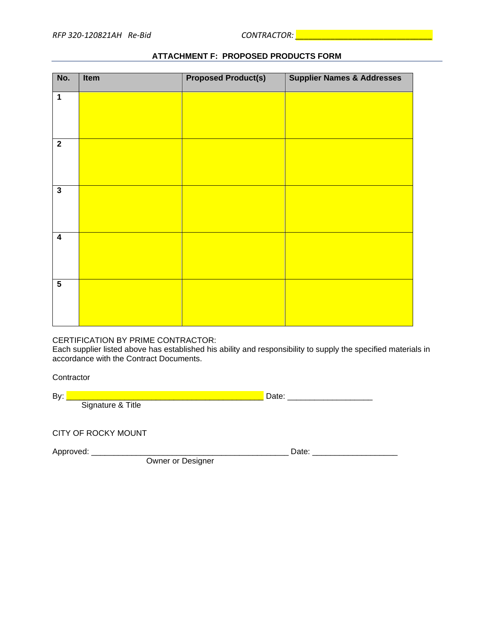| No.                     | Item | <b>Proposed Product(s)</b> | <b>Supplier Names &amp; Addresses</b> |
|-------------------------|------|----------------------------|---------------------------------------|
| $\overline{1}$          |      |                            |                                       |
| $\overline{\mathbf{2}}$ |      |                            |                                       |
| $\mathbf{3}$            |      |                            |                                       |
| $\overline{\mathbf{4}}$ |      |                            |                                       |
| $\overline{\mathbf{5}}$ |      |                            |                                       |

## **ATTACHMENT F: PROPOSED PRODUCTS FORM**

## CERTIFICATION BY PRIME CONTRACTOR:

Each supplier listed above has established his ability and responsibility to supply the specified materials in accordance with the Contract Documents.

**Contractor** 

| Bν |  |
|----|--|
|    |  |

CITY OF ROCKY MOUNT

Owner or Designer

Approved: \_\_\_\_\_\_\_\_\_\_\_\_\_\_\_\_\_\_\_\_\_\_\_\_\_\_\_\_\_\_\_\_\_\_\_\_\_\_\_\_\_\_\_\_ Date: \_\_\_\_\_\_\_\_\_\_\_\_\_\_\_\_\_\_\_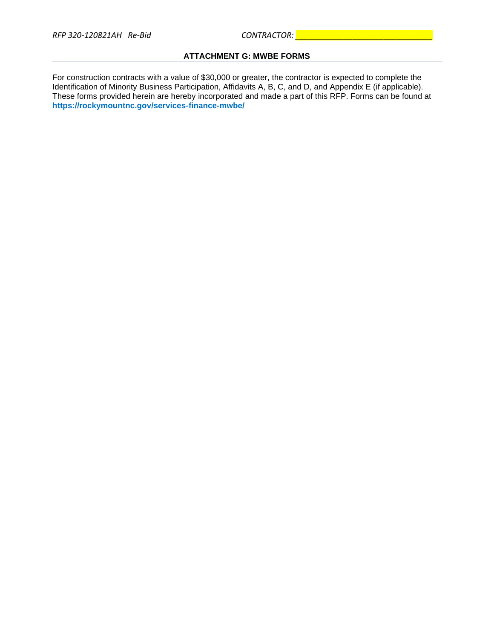## **ATTACHMENT G: MWBE FORMS**

For construction contracts with a value of \$30,000 or greater, the contractor is expected to complete the Identification of Minority Business Participation, Affidavits A, B, C, and D, and Appendix E (if applicable). These forms provided herein are hereby incorporated and made a part of this RFP. Forms can be found at **https://rockymountnc.gov/services-finance-mwbe/**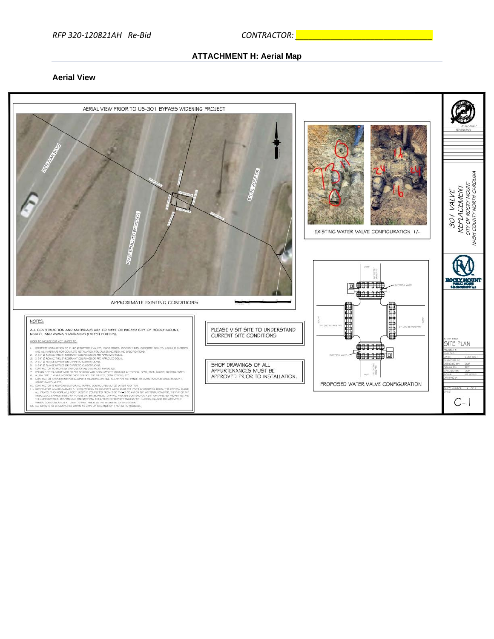#### **ATTACHMENT H: Aerial Map**

## **Aerial View**

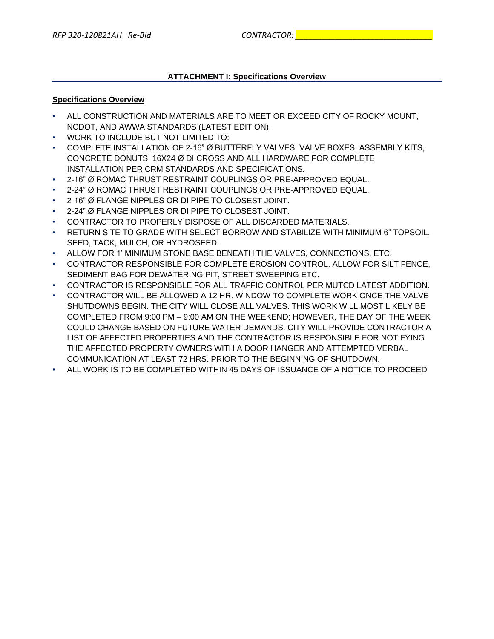## **ATTACHMENT I: Specifications Overview**

#### **Specifications Overview**

- ALL CONSTRUCTION AND MATERIALS ARE TO MEET OR EXCEED CITY OF ROCKY MOUNT, NCDOT, AND AWWA STANDARDS (LATEST EDITION).
- WORK TO INCLUDE BUT NOT LIMITED TO:
- COMPLETE INSTALLATION OF 2-16" Ø BUTTERFLY VALVES, VALVE BOXES, ASSEMBLY KITS, CONCRETE DONUTS, 16X24 Ø DI CROSS AND ALL HARDWARE FOR COMPLETE INSTALLATION PER CRM STANDARDS AND SPECIFICATIONS.
- 2-16" Ø ROMAC THRUST RESTRAINT COUPLINGS OR PRE-APPROVED EQUAL.
- 2-24" Ø ROMAC THRUST RESTRAINT COUPLINGS OR PRE-APPROVED EQUAL.
- 2-16" Ø FLANGE NIPPLES OR DI PIPE TO CLOSEST JOINT.
- 2-24" Ø FLANGE NIPPLES OR DI PIPE TO CLOSEST JOINT.
- CONTRACTOR TO PROPERLY DISPOSE OF ALL DISCARDED MATERIALS.
- RETURN SITE TO GRADE WITH SELECT BORROW AND STABILIZE WITH MINIMUM 6" TOPSOIL, SEED, TACK, MULCH, OR HYDROSEED.
- ALLOW FOR 1' MINIMUM STONE BASE BENEATH THE VALVES, CONNECTIONS, ETC.
- CONTRACTOR RESPONSIBLE FOR COMPLETE EROSION CONTROL. ALLOW FOR SILT FENCE, SEDIMENT BAG FOR DEWATERING PIT, STREET SWEEPING ETC.
- CONTRACTOR IS RESPONSIBLE FOR ALL TRAFFIC CONTROL PER MUTCD LATEST ADDITION.
- CONTRACTOR WILL BE ALLOWED A 12 HR. WINDOW TO COMPLETE WORK ONCE THE VALVE SHUTDOWNS BEGIN. THE CITY WILL CLOSE ALL VALVES. THIS WORK WILL MOST LIKELY BE COMPLETED FROM 9:00 PM – 9:00 AM ON THE WEEKEND; HOWEVER, THE DAY OF THE WEEK COULD CHANGE BASED ON FUTURE WATER DEMANDS. CITY WILL PROVIDE CONTRACTOR A LIST OF AFFECTED PROPERTIES AND THE CONTRACTOR IS RESPONSIBLE FOR NOTIFYING THE AFFECTED PROPERTY OWNERS WITH A DOOR HANGER AND ATTEMPTED VERBAL COMMUNICATION AT LEAST 72 HRS. PRIOR TO THE BEGINNING OF SHUTDOWN.
- ALL WORK IS TO BE COMPLETED WITHIN 45 DAYS OF ISSUANCE OF A NOTICE TO PROCEED